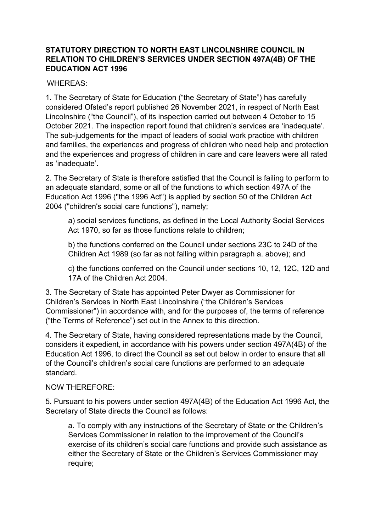# **STATUTORY DIRECTION TO NORTH EAST LINCOLNSHIRE COUNCIL IN RELATION TO CHILDREN'S SERVICES UNDER SECTION 497A(4B) OF THE EDUCATION ACT 1996**

## WHEREAS:

1. The Secretary of State for Education ("the Secretary of State") has carefully considered Ofsted's report published 26 November 2021, in respect of North East Lincolnshire ("the Council"), of its inspection carried out between 4 October to 15 October 2021. The inspection report found that children's services are 'inadequate'. The sub-judgements for the impact of leaders of social work practice with children and families, the experiences and progress of children who need help and protection and the experiences and progress of children in care and care leavers were all rated as 'inadequate'.

2. The Secretary of State is therefore satisfied that the Council is failing to perform to an adequate standard, some or all of the functions to which section 497A of the Education Act 1996 (''the 1996 Act") is applied by section 50 of the Children Act 2004 ("children's social care functions"), namely;

a) social services functions, as defined in the Local Authority Social Services Act 1970, so far as those functions relate to children;

b) the functions conferred on the Council under sections 23C to 24D of the Children Act 1989 (so far as not falling within paragraph a. above); and

c) the functions conferred on the Council under sections 10, 12, 12C, 12D and 17A of the Children Act 2004.

3. The Secretary of State has appointed Peter Dwyer as Commissioner for Children's Services in North East Lincolnshire ("the Children's Services Commissioner") in accordance with, and for the purposes of, the terms of reference ("the Terms of Reference") set out in the Annex to this direction.

4. The Secretary of State, having considered representations made by the Council, considers it expedient, in accordance with his powers under section 497A(4B) of the Education Act 1996, to direct the Council as set out below in order to ensure that all of the Council's children's social care functions are performed to an adequate standard.

### NOW THEREFORE:

5. Pursuant to his powers under section 497A(4B) of the Education Act 1996 Act, the Secretary of State directs the Council as follows:

a. To comply with any instructions of the Secretary of State or the Children's Services Commissioner in relation to the improvement of the Council's exercise of its children's social care functions and provide such assistance as either the Secretary of State or the Children's Services Commissioner may require;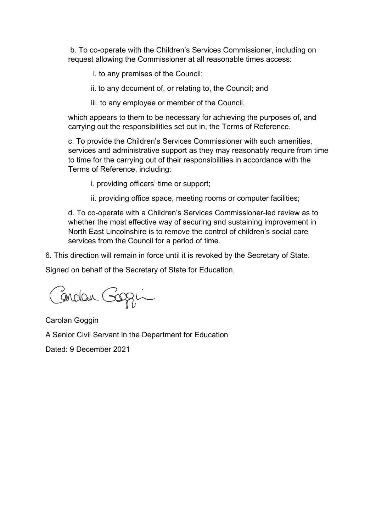b. To co-operate with the Children's Services Commissioner, including on request allowing the Commissioner at all reasonable times access:

- i. to any premises of the Council;
- ii. to any document of, or relating to, the Council; and
- iii. to any employee or member of the Council,

which appears to them to be necessary for achieving the purposes of, and carrying out the responsibilities set out in, the Terms of Reference.

c. To provide the Children's Services Commissioner with such amenities, services and administrative support as they may reasonably require from time to time for the carrying out of their responsibilities in accordance with the Terms of Reference, including:

- i. providing officers' time or support;
- ii. providing office space, meeting rooms or computer facilities;

d. To co-operate with a Children's Services Commissioner-led review as to whether the most effective way of securing and sustaining improvement in North East Lincolnshire is to remove the control of children's social care services from the Council for a period of time.

6. This direction will remain in force until it is revoked by the Secretary of State.

Signed on behalf of the Secretary of State for Education,

Birdan Gogin

Carolan Goggin

A Senior Civil Servant in the Department for Education

Dated: 9 December 2021